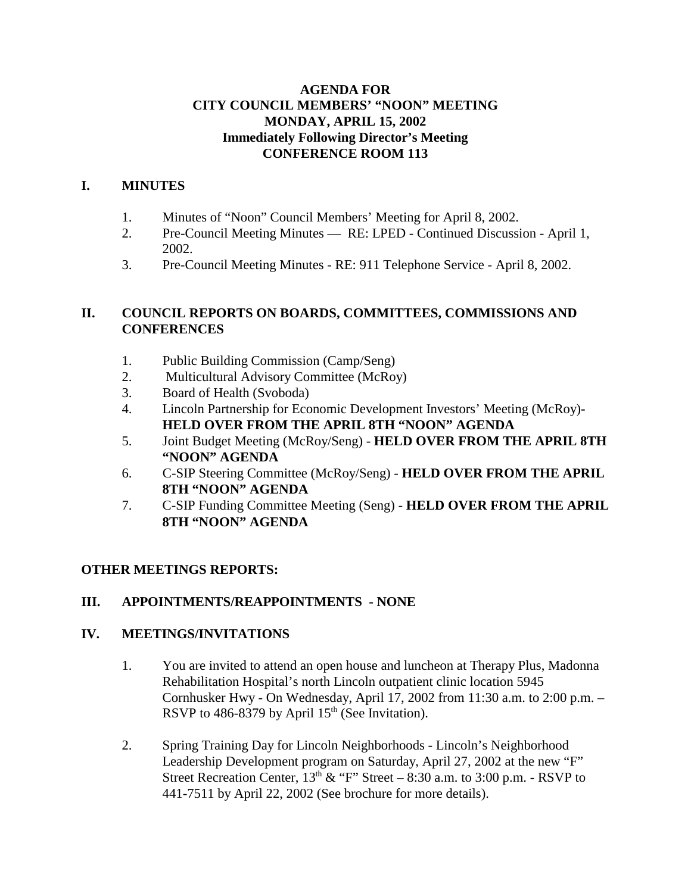#### **AGENDA FOR CITY COUNCIL MEMBERS' "NOON" MEETING MONDAY, APRIL 15, 2002 Immediately Following Director's Meeting CONFERENCE ROOM 113**

### **I. MINUTES**

- 1. Minutes of "Noon" Council Members' Meeting for April 8, 2002.
- 2. Pre-Council Meeting Minutes RE: LPED Continued Discussion April 1, 2002.
- 3. Pre-Council Meeting Minutes RE: 911 Telephone Service April 8, 2002.

### **II. COUNCIL REPORTS ON BOARDS, COMMITTEES, COMMISSIONS AND CONFERENCES**

- 1. Public Building Commission (Camp/Seng)
- 2. Multicultural Advisory Committee (McRoy)
- 3. Board of Health (Svoboda)
- 4. Lincoln Partnership for Economic Development Investors' Meeting (McRoy)**- HELD OVER FROM THE APRIL 8TH "NOON" AGENDA**
- 5. Joint Budget Meeting (McRoy/Seng) **HELD OVER FROM THE APRIL 8TH "NOON" AGENDA**
- 6. C-SIP Steering Committee (McRoy/Seng) **HELD OVER FROM THE APRIL 8TH "NOON" AGENDA**
- 7. C-SIP Funding Committee Meeting (Seng) **HELD OVER FROM THE APRIL 8TH "NOON" AGENDA**

#### **OTHER MEETINGS REPORTS:**

#### **III. APPOINTMENTS/REAPPOINTMENTS - NONE**

#### **IV. MEETINGS/INVITATIONS**

- 1. You are invited to attend an open house and luncheon at Therapy Plus, Madonna Rehabilitation Hospital's north Lincoln outpatient clinic location 5945 Cornhusker Hwy - On Wednesday, April 17, 2002 from 11:30 a.m. to 2:00 p.m. – RSVP to 486-8379 by April  $15<sup>th</sup>$  (See Invitation).
- 2. Spring Training Day for Lincoln Neighborhoods Lincoln's Neighborhood Leadership Development program on Saturday, April 27, 2002 at the new "F" Street Recreation Center,  $13<sup>th</sup> \& "F" Street - 8:30 a.m. to 3:00 p.m. - RSVP to$ 441-7511 by April 22, 2002 (See brochure for more details).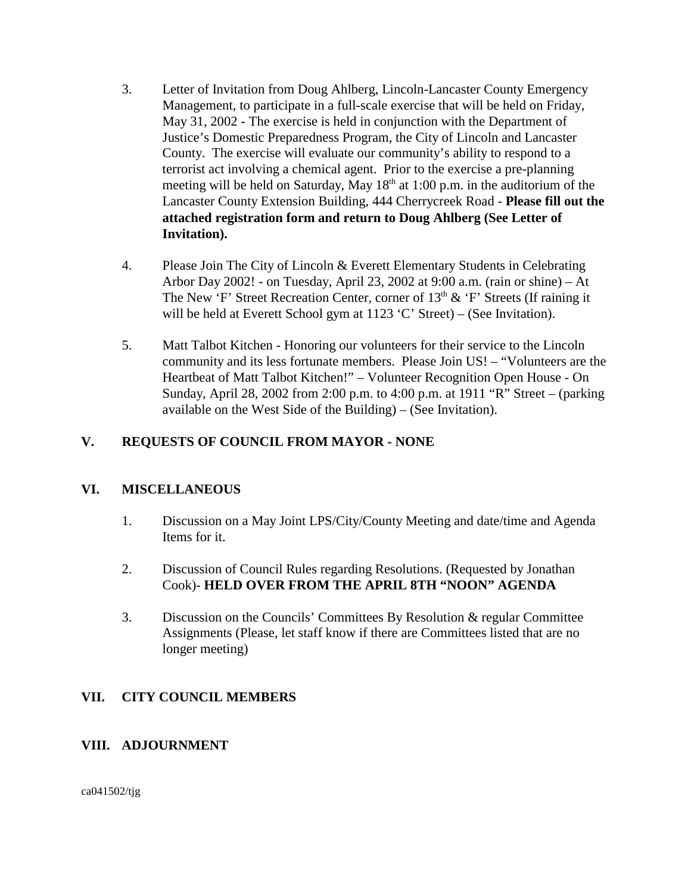- 3. Letter of Invitation from Doug Ahlberg, Lincoln-Lancaster County Emergency Management, to participate in a full-scale exercise that will be held on Friday, May 31, 2002 - The exercise is held in conjunction with the Department of Justice's Domestic Preparedness Program, the City of Lincoln and Lancaster County. The exercise will evaluate our community's ability to respond to a terrorist act involving a chemical agent. Prior to the exercise a pre-planning meeting will be held on Saturday, May  $18<sup>th</sup>$  at 1:00 p.m. in the auditorium of the Lancaster County Extension Building, 444 Cherrycreek Road - **Please fill out the attached registration form and return to Doug Ahlberg (See Letter of Invitation).**
- 4. Please Join The City of Lincoln & Everett Elementary Students in Celebrating Arbor Day 2002! - on Tuesday, April 23, 2002 at 9:00 a.m. (rain or shine) – At The New 'F' Street Recreation Center, corner of  $13<sup>th</sup>$  & 'F' Streets (If raining it will be held at Everett School gym at 1123 'C' Street) – (See Invitation).
- 5. Matt Talbot Kitchen Honoring our volunteers for their service to the Lincoln community and its less fortunate members. Please Join US! – "Volunteers are the Heartbeat of Matt Talbot Kitchen!" – Volunteer Recognition Open House - On Sunday, April 28, 2002 from 2:00 p.m. to 4:00 p.m. at 1911 "R" Street – (parking available on the West Side of the Building) – (See Invitation).

## **V. REQUESTS OF COUNCIL FROM MAYOR - NONE**

## **VI. MISCELLANEOUS**

- 1. Discussion on a May Joint LPS/City/County Meeting and date/time and Agenda Items for it.
- 2. Discussion of Council Rules regarding Resolutions. (Requested by Jonathan Cook)- **HELD OVER FROM THE APRIL 8TH "NOON" AGENDA**
- 3. Discussion on the Councils' Committees By Resolution & regular Committee Assignments (Please, let staff know if there are Committees listed that are no longer meeting)

## **VII. CITY COUNCIL MEMBERS**

## **VIII. ADJOURNMENT**

ca041502/tjg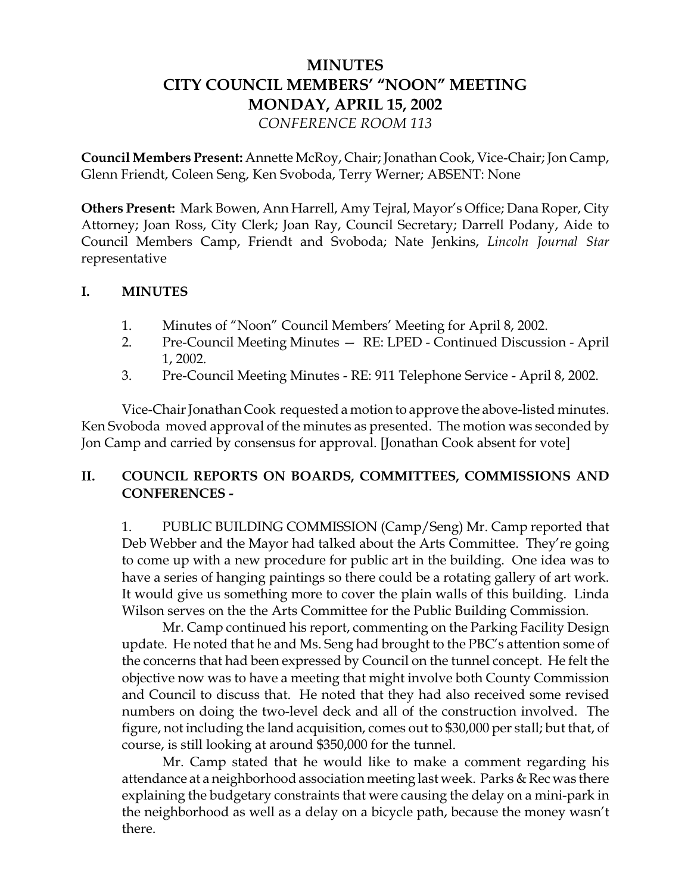# **MINUTES CITY COUNCIL MEMBERS' "NOON" MEETING MONDAY, APRIL 15, 2002** *CONFERENCE ROOM 113*

**Council Members Present:** Annette McRoy, Chair; Jonathan Cook, Vice-Chair; Jon Camp, Glenn Friendt, Coleen Seng, Ken Svoboda, Terry Werner; ABSENT: None

**Others Present:** Mark Bowen, Ann Harrell, Amy Tejral, Mayor's Office; Dana Roper, City Attorney; Joan Ross, City Clerk; Joan Ray, Council Secretary; Darrell Podany, Aide to Council Members Camp, Friendt and Svoboda; Nate Jenkins, *Lincoln Journal Star* representative

#### **I. MINUTES**

- 1. Minutes of "Noon" Council Members' Meeting for April 8, 2002.
- 2. Pre-Council Meeting Minutes RE: LPED Continued Discussion April 1, 2002.
- 3. Pre-Council Meeting Minutes RE: 911 Telephone Service April 8, 2002.

Vice-Chair Jonathan Cook requested a motion to approve the above-listed minutes. Ken Svoboda moved approval of the minutes as presented. The motion was seconded by Jon Camp and carried by consensus for approval. [Jonathan Cook absent for vote]

## **II. COUNCIL REPORTS ON BOARDS, COMMITTEES, COMMISSIONS AND CONFERENCES -**

1. PUBLIC BUILDING COMMISSION (Camp/Seng) Mr. Camp reported that Deb Webber and the Mayor had talked about the Arts Committee. They're going to come up with a new procedure for public art in the building. One idea was to have a series of hanging paintings so there could be a rotating gallery of art work. It would give us something more to cover the plain walls of this building. Linda Wilson serves on the the Arts Committee for the Public Building Commission.

Mr. Camp continued his report, commenting on the Parking Facility Design update. He noted that he and Ms. Seng had brought to the PBC's attention some of the concerns that had been expressed by Council on the tunnel concept. He felt the objective now was to have a meeting that might involve both County Commission and Council to discuss that. He noted that they had also received some revised numbers on doing the two-level deck and all of the construction involved. The figure, not including the land acquisition, comes out to \$30,000 per stall; but that, of course, is still looking at around \$350,000 for the tunnel.

Mr. Camp stated that he would like to make a comment regarding his attendance at a neighborhood association meeting last week. Parks & Rec was there explaining the budgetary constraints that were causing the delay on a mini-park in the neighborhood as well as a delay on a bicycle path, because the money wasn't there.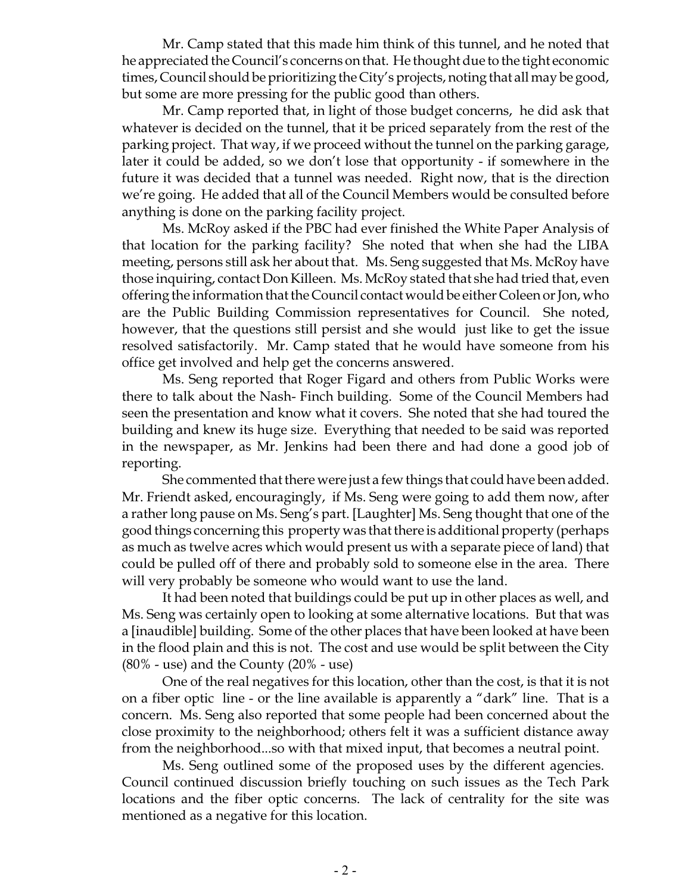Mr. Camp stated that this made him think of this tunnel, and he noted that he appreciated the Council's concerns on that. He thought due to the tight economic times, Council should be prioritizing the City's projects, noting that all may be good, but some are more pressing for the public good than others.

Mr. Camp reported that, in light of those budget concerns, he did ask that whatever is decided on the tunnel, that it be priced separately from the rest of the parking project. That way, if we proceed without the tunnel on the parking garage, later it could be added, so we don't lose that opportunity - if somewhere in the future it was decided that a tunnel was needed. Right now, that is the direction we're going. He added that all of the Council Members would be consulted before anything is done on the parking facility project.

Ms. McRoy asked if the PBC had ever finished the White Paper Analysis of that location for the parking facility? She noted that when she had the LIBA meeting, persons still ask her about that. Ms. Seng suggested that Ms. McRoy have those inquiring, contact Don Killeen. Ms. McRoy stated that she had tried that, even offering the information that the Council contact would be either Coleen or Jon, who are the Public Building Commission representatives for Council. She noted, however, that the questions still persist and she would just like to get the issue resolved satisfactorily. Mr. Camp stated that he would have someone from his office get involved and help get the concerns answered.

Ms. Seng reported that Roger Figard and others from Public Works were there to talk about the Nash- Finch building. Some of the Council Members had seen the presentation and know what it covers. She noted that she had toured the building and knew its huge size. Everything that needed to be said was reported in the newspaper, as Mr. Jenkins had been there and had done a good job of reporting.

She commented that there were just a few things that could have been added. Mr. Friendt asked, encouragingly, if Ms. Seng were going to add them now, after a rather long pause on Ms. Seng's part. [Laughter] Ms. Seng thought that one of the good things concerning this property was that there is additional property (perhaps as much as twelve acres which would present us with a separate piece of land) that could be pulled off of there and probably sold to someone else in the area. There will very probably be someone who would want to use the land.

It had been noted that buildings could be put up in other places as well, and Ms. Seng was certainly open to looking at some alternative locations. But that was a [inaudible] building. Some of the other places that have been looked at have been in the flood plain and this is not. The cost and use would be split between the City  $(80\%$  - use) and the County  $(20\%$  - use)

One of the real negatives for this location, other than the cost, is that it is not on a fiber optic line - or the line available is apparently a "dark" line. That is a concern. Ms. Seng also reported that some people had been concerned about the close proximity to the neighborhood; others felt it was a sufficient distance away from the neighborhood...so with that mixed input, that becomes a neutral point.

Ms. Seng outlined some of the proposed uses by the different agencies. Council continued discussion briefly touching on such issues as the Tech Park locations and the fiber optic concerns. The lack of centrality for the site was mentioned as a negative for this location.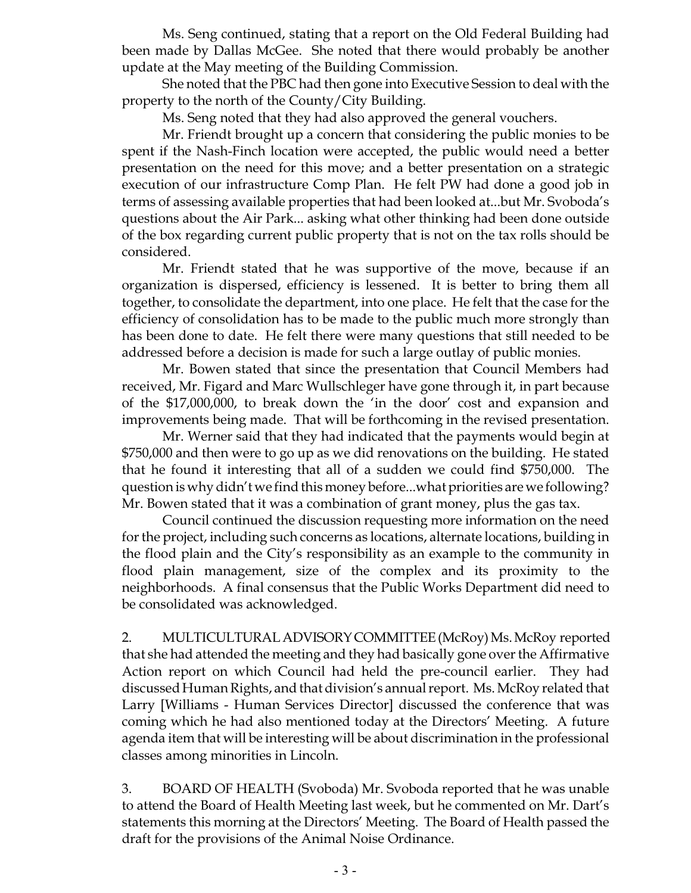Ms. Seng continued, stating that a report on the Old Federal Building had been made by Dallas McGee. She noted that there would probably be another update at the May meeting of the Building Commission.

She noted that the PBC had then gone into Executive Session to deal with the property to the north of the County/City Building.

Ms. Seng noted that they had also approved the general vouchers.

Mr. Friendt brought up a concern that considering the public monies to be spent if the Nash-Finch location were accepted, the public would need a better presentation on the need for this move; and a better presentation on a strategic execution of our infrastructure Comp Plan. He felt PW had done a good job in terms of assessing available properties that had been looked at...but Mr. Svoboda's questions about the Air Park... asking what other thinking had been done outside of the box regarding current public property that is not on the tax rolls should be considered.

Mr. Friendt stated that he was supportive of the move, because if an organization is dispersed, efficiency is lessened. It is better to bring them all together, to consolidate the department, into one place. He felt that the case for the efficiency of consolidation has to be made to the public much more strongly than has been done to date. He felt there were many questions that still needed to be addressed before a decision is made for such a large outlay of public monies.

Mr. Bowen stated that since the presentation that Council Members had received, Mr. Figard and Marc Wullschleger have gone through it, in part because of the \$17,000,000, to break down the 'in the door' cost and expansion and improvements being made. That will be forthcoming in the revised presentation.

Mr. Werner said that they had indicated that the payments would begin at \$750,000 and then were to go up as we did renovations on the building. He stated that he found it interesting that all of a sudden we could find \$750,000. The question is why didn't we find this money before...what priorities are we following? Mr. Bowen stated that it was a combination of grant money, plus the gas tax.

Council continued the discussion requesting more information on the need for the project, including such concerns as locations, alternate locations, building in the flood plain and the City's responsibility as an example to the community in flood plain management, size of the complex and its proximity to the neighborhoods. A final consensus that the Public Works Department did need to be consolidated was acknowledged.

2. MULTICULTURAL ADVISORY COMMITTEE (McRoy) Ms. McRoy reported that she had attended the meeting and they had basically gone over the Affirmative Action report on which Council had held the pre-council earlier. They had discussed Human Rights, and that division's annual report. Ms. McRoy related that Larry [Williams - Human Services Director] discussed the conference that was coming which he had also mentioned today at the Directors' Meeting. A future agenda item that will be interesting will be about discrimination in the professional classes among minorities in Lincoln.

3. BOARD OF HEALTH (Svoboda) Mr. Svoboda reported that he was unable to attend the Board of Health Meeting last week, but he commented on Mr. Dart's statements this morning at the Directors' Meeting. The Board of Health passed the draft for the provisions of the Animal Noise Ordinance.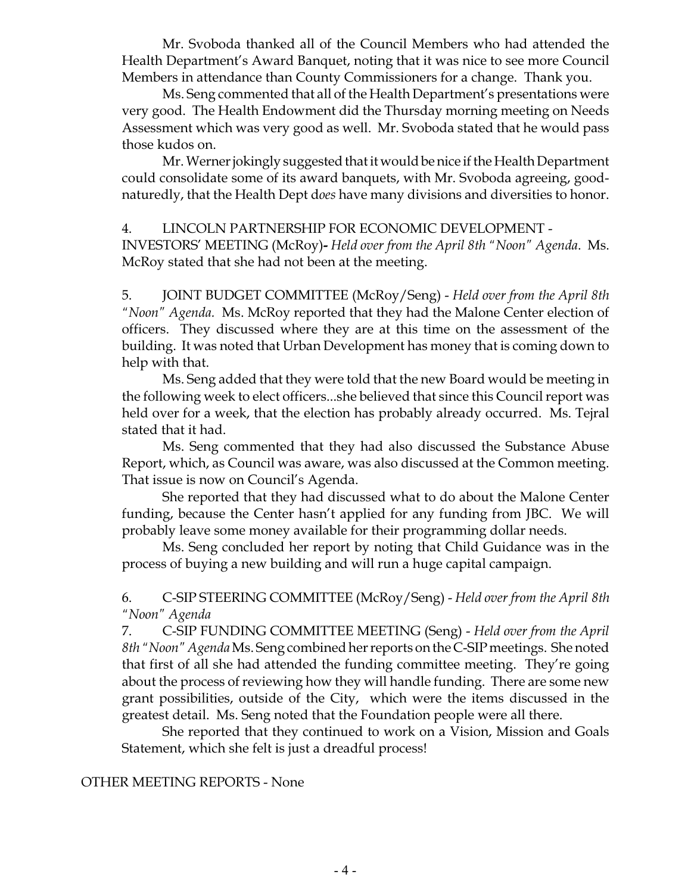Mr. Svoboda thanked all of the Council Members who had attended the Health Department's Award Banquet, noting that it was nice to see more Council Members in attendance than County Commissioners for a change. Thank you.

Ms. Seng commented that all of the Health Department's presentations were very good. The Health Endowment did the Thursday morning meeting on Needs Assessment which was very good as well. Mr. Svoboda stated that he would pass those kudos on.

Mr. Werner jokingly suggested that it would be nice if the Health Department could consolidate some of its award banquets, with Mr. Svoboda agreeing, goodnaturedly, that the Health Dept d*oes* have many divisions and diversities to honor.

#### 4. LINCOLN PARTNERSHIP FOR ECONOMIC DEVELOPMENT -

 INVESTORS' MEETING (McRoy)**-** *Held over from the April 8th "Noon" Agenda*. Ms. McRoy stated that she had not been at the meeting.

5. JOINT BUDGET COMMITTEE (McRoy/Seng) - *Held over from the April 8th "Noon" Agenda.* Ms. McRoy reported that they had the Malone Center election of officers. They discussed where they are at this time on the assessment of the building. It was noted that Urban Development has money that is coming down to help with that.

Ms. Seng added that they were told that the new Board would be meeting in the following week to elect officers...she believed that since this Council report was held over for a week, that the election has probably already occurred. Ms. Tejral stated that it had.

Ms. Seng commented that they had also discussed the Substance Abuse Report, which, as Council was aware, was also discussed at the Common meeting. That issue is now on Council's Agenda.

She reported that they had discussed what to do about the Malone Center funding, because the Center hasn't applied for any funding from JBC. We will probably leave some money available for their programming dollar needs.

Ms. Seng concluded her report by noting that Child Guidance was in the process of buying a new building and will run a huge capital campaign.

6. C-SIP STEERING COMMITTEE (McRoy/Seng) - *Held over from the April 8th "Noon" Agenda*

7. C-SIP FUNDING COMMITTEE MEETING (Seng) - *Held over from the April 8th "Noon" Agenda* Ms. Seng combined her reports on the C-SIP meetings. She noted that first of all she had attended the funding committee meeting. They're going about the process of reviewing how they will handle funding. There are some new grant possibilities, outside of the City, which were the items discussed in the greatest detail. Ms. Seng noted that the Foundation people were all there.

She reported that they continued to work on a Vision, Mission and Goals Statement, which she felt is just a dreadful process!

OTHER MEETING REPORTS - None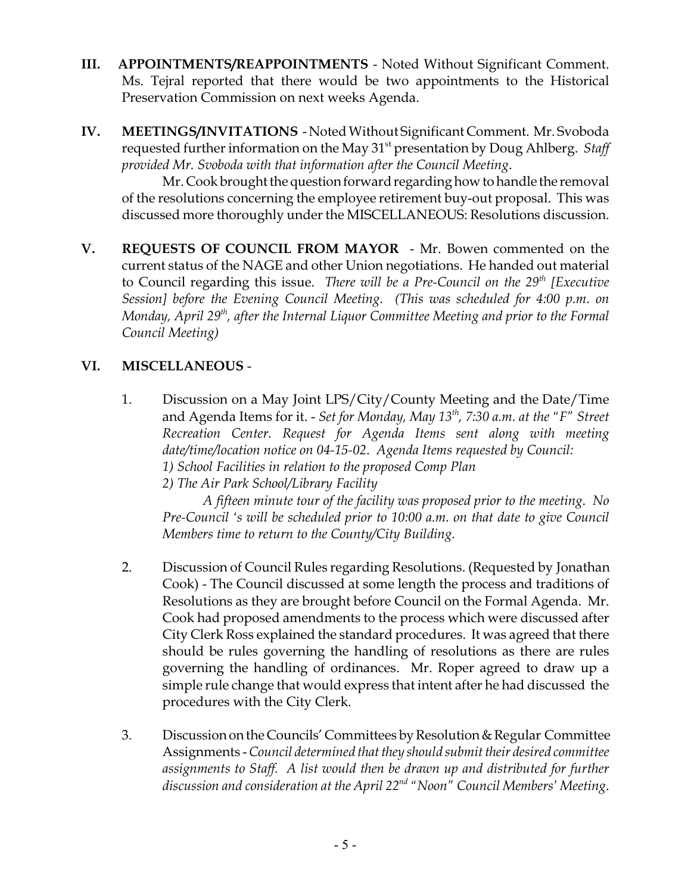- **III. APPOINTMENTS/REAPPOINTMENTS** Noted Without Significant Comment. Ms. Tejral reported that there would be two appointments to the Historical Preservation Commission on next weeks Agenda.
- **IV. MEETINGS/INVITATIONS**  Noted Without Significant Comment. Mr. Svoboda requested further information on the May 31st presentation by Doug Ahlberg. *Staff provided Mr. Svoboda with that information after the Council Meeting*.

Mr. Cook brought the question forward regarding how to handle the removal of the resolutions concerning the employee retirement buy-out proposal. This was discussed more thoroughly under the MISCELLANEOUS: Resolutions discussion.

**V. REQUESTS OF COUNCIL FROM MAYOR** - Mr. Bowen commented on the current status of the NAGE and other Union negotiations. He handed out material to Council regarding this issue. *There will be a Pre-Council on the 29<sup>th</sup> [Executive*] *Session] before the Evening Council Meeting. (This was scheduled for 4:00 p.m. on Monday, April 29th, after the Internal Liquor Committee Meeting and prior to the Formal Council Meeting)*

## **VI. MISCELLANEOUS** -

1. Discussion on a May Joint LPS/City/County Meeting and the Date/Time and Agenda Items for it. - *Set for Monday, May 13th, 7:30 a.m. at the "F" Street Recreation Center. Request for Agenda Items sent along with meeting date/time/location notice on 04-15-02*. *Agenda Items requested by Council: 1) School Facilities in relation to the proposed Comp Plan*

*2) The Air Park School/Library Facility*

*A fifteen minute tour of the facility was proposed prior to the meeting*. *No Pre-Council 's will be scheduled prior to 10:00 a.m. on that date to give Council Members time to return to the County/City Building.*

- 2. Discussion of Council Rules regarding Resolutions. (Requested by Jonathan Cook) - The Council discussed at some length the process and traditions of Resolutions as they are brought before Council on the Formal Agenda. Mr. Cook had proposed amendments to the process which were discussed after City Clerk Ross explained the standard procedures. It was agreed that there should be rules governing the handling of resolutions as there are rules governing the handling of ordinances. Mr. Roper agreed to draw up a simple rule change that would express that intent after he had discussed the procedures with the City Clerk.
- 3. Discussion on the Councils' Committees by Resolution & Regular Committee Assignments - *Council determined that they should submit their desired committee assignments to Staff. A list would then be drawn up and distributed for further discussion and consideration at the April 22nd "Noon" Council Members' Meeting*.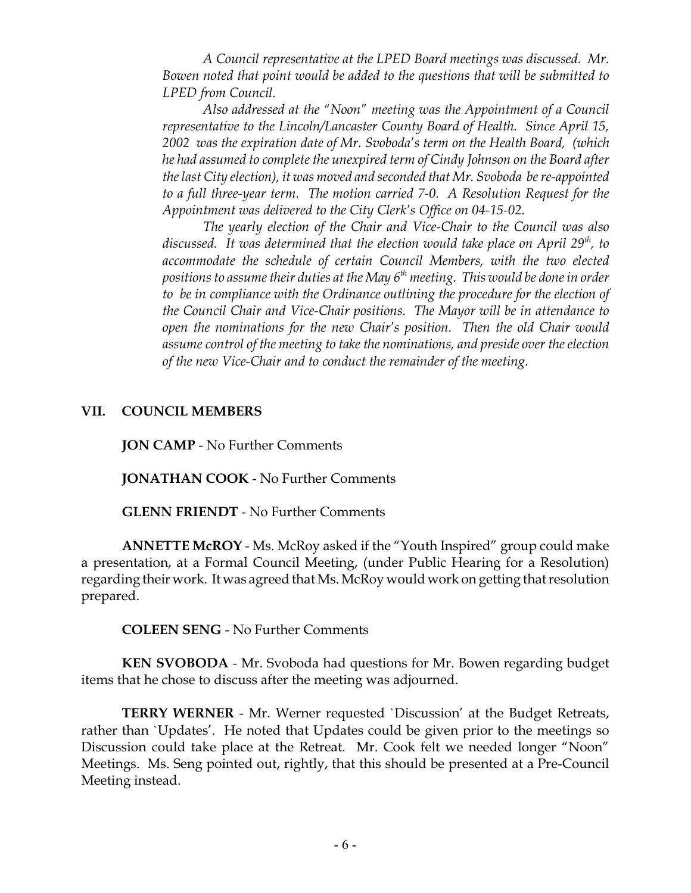*A Council representative at the LPED Board meetings was discussed. Mr. Bowen noted that point would be added to the questions that will be submitted to LPED from Council.*

*Also addressed at the "Noon" meeting was the Appointment of a Council representative to the Lincoln/Lancaster County Board of Health. Since April 15, 2002 was the expiration date of Mr. Svoboda's term on the Health Board, (which he had assumed to complete the unexpired term of Cindy Johnson on the Board after the last City election), it was moved and seconded that Mr. Svoboda be re-appointed to a full three-year term. The motion carried 7-0. A Resolution Request for the Appointment was delivered to the City Clerk's Office on 04-15-02*.

*The yearly election of the Chair and Vice-Chair to the Council was also discussed. It was determined that the election would take place on April 29th, to accommodate the schedule of certain Council Members, with the two elected* positions to assume their duties at the May 6<sup>th</sup> meeting. This would be done in order *to be in compliance with the Ordinance outlining the procedure for the election of the Council Chair and Vice-Chair positions. The Mayor will be in attendance to open the nominations for the new Chair's position. Then the old Chair would assume control of the meeting to take the nominations, and preside over the election of the new Vice-Chair and to conduct the remainder of the meeting.*

#### **VII. COUNCIL MEMBERS**

**JON CAMP** - No Further Comments

**JONATHAN COOK** - No Further Comments

**GLENN FRIENDT** - No Further Comments

**ANNETTE McROY** - Ms. McRoy asked if the "Youth Inspired" group could make a presentation, at a Formal Council Meeting, (under Public Hearing for a Resolution) regarding their work. It was agreed that Ms. McRoy would work on getting that resolution prepared.

**COLEEN SENG** - No Further Comments

**KEN SVOBODA** - Mr. Svoboda had questions for Mr. Bowen regarding budget items that he chose to discuss after the meeting was adjourned.

**TERRY WERNER** - Mr. Werner requested `Discussion' at the Budget Retreats, rather than `Updates'. He noted that Updates could be given prior to the meetings so Discussion could take place at the Retreat. Mr. Cook felt we needed longer "Noon" Meetings. Ms. Seng pointed out, rightly, that this should be presented at a Pre-Council Meeting instead.